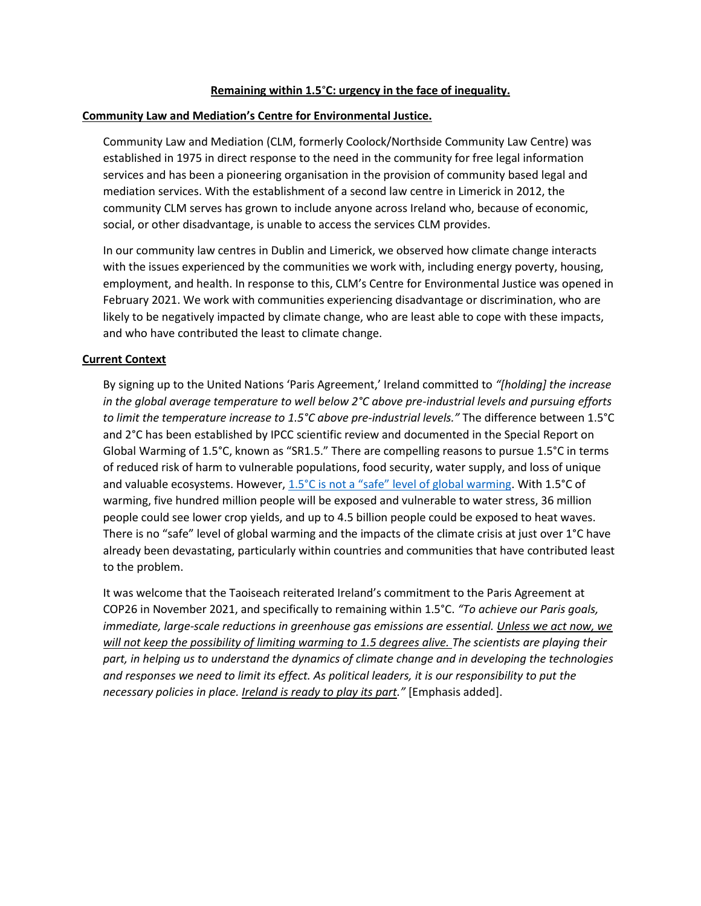### **Remaining within 1.5**°**C: urgency in the face of inequality.**

#### **Community Law and Mediation's Centre for Environmental Justice.**

Community Law and Mediation (CLM, formerly Coolock/Northside Community Law Centre) was established in 1975 in direct response to the need in the community for free legal information services and has been a pioneering organisation in the provision of community based legal and mediation services. With the establishment of a second law centre in Limerick in 2012, the community CLM serves has grown to include anyone across Ireland who, because of economic, social, or other disadvantage, is unable to access the services CLM provides.

In our community law centres in Dublin and Limerick, we observed how climate change interacts with the issues experienced by the communities we work with, including energy poverty, housing, employment, and health. In response to this, CLM's Centre for Environmental Justice was opened in February 2021. We work with communities experiencing disadvantage or discrimination, who are likely to be negatively impacted by climate change, who are least able to cope with these impacts, and who have contributed the least to climate change.

#### **Current Context**

By signing up to the United Nations 'Paris Agreement,' Ireland committed to *"[holding] the increase in the global average temperature to well below 2°C above pre-industrial levels and pursuing efforts to limit the temperature increase to 1.5°C above pre-industrial levels."* The difference between 1.5°C and 2°C has been established by IPCC scientific review and documented in the Special Report on Global Warming of 1.5°C, known as "SR1.5." There are compelling reasons to pursue 1.5°C in terms of reduced risk of harm to vulnerable populations, food security, water supply, and loss of unique and valuable ecosystems. However, [1.5°C is not a "safe" level of global warming](https://www.ohchr.org/EN/Issues/Poverty/Pages/ClimateChange.aspx). With 1.5°C of warming, five hundred million people will be exposed and vulnerable to water stress, 36 million people could see lower crop yields, and up to 4.5 billion people could be exposed to heat waves. There is no "safe" level of global warming and the impacts of the climate crisis at just over 1°C have already been devastating, particularly within countries and communities that have contributed least to the problem.

It was welcome that the Taoiseach reiterated Ireland's commitment to the Paris Agreement at COP26 in November 2021, and specifically to remaining within 1.5°C. *"To achieve our Paris goals, immediate, large-scale reductions in greenhouse gas emissions are essential. Unless we act now, we will not keep the possibility of limiting warming to 1.5 degrees alive. The scientists are playing their part, in helping us to understand the dynamics of climate change and in developing the technologies and responses we need to limit its effect. As political leaders, it is our responsibility to put the necessary policies in place. Ireland is ready to play its part."* [Emphasis added].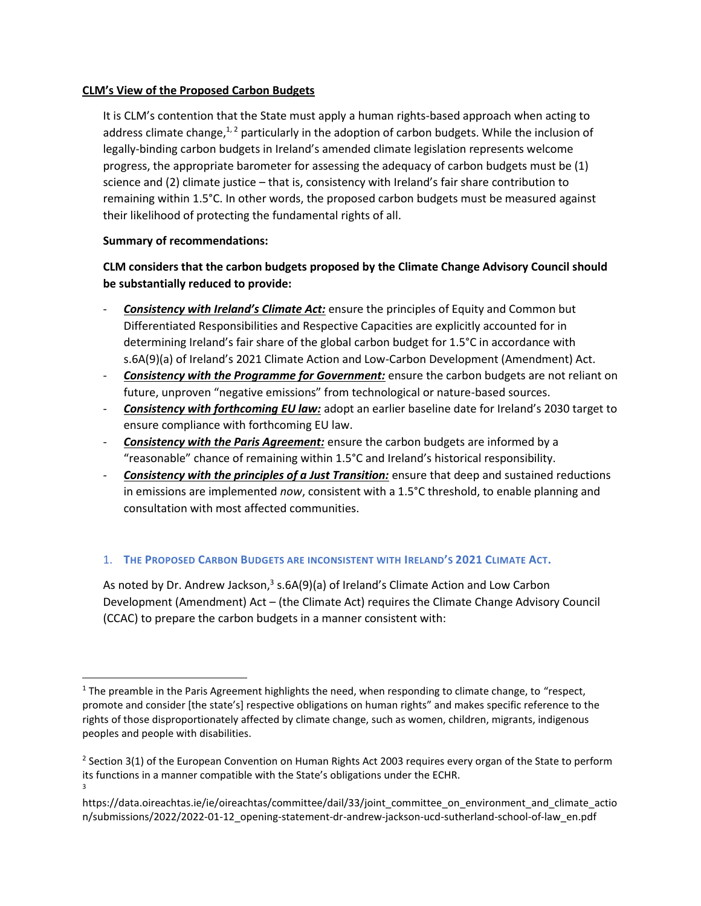## **CLM's View of the Proposed Carbon Budgets**

It is CLM's contention that the State must apply a human rights-based approach when acting to address climate change, $1/2$  particularly in the adoption of carbon budgets. While the inclusion of legally-binding carbon budgets in Ireland's amended climate legislation represents welcome progress, the appropriate barometer for assessing the adequacy of carbon budgets must be (1) science and (2) climate justice – that is, consistency with Ireland's fair share contribution to remaining within 1.5°C. In other words, the proposed carbon budgets must be measured against their likelihood of protecting the fundamental rights of all.

## **Summary of recommendations:**

# **CLM considers that the carbon budgets proposed by the Climate Change Advisory Council should be substantially reduced to provide:**

- *Consistency with Ireland's Climate Act:* ensure the principles of Equity and Common but Differentiated Responsibilities and Respective Capacities are explicitly accounted for in determining Ireland's fair share of the global carbon budget for 1.5°C in accordance with s.6A(9)(a) of Ireland's 2021 Climate Action and Low-Carbon Development (Amendment) Act.
- *Consistency with the Programme for Government:* ensure the carbon budgets are not reliant on future, unproven "negative emissions" from technological or nature-based sources.
- *Consistency with forthcoming EU law:* adopt an earlier baseline date for Ireland's 2030 target to ensure compliance with forthcoming EU law.
- *Consistency with the Paris Agreement:* ensure the carbon budgets are informed by a "reasonable" chance of remaining within 1.5°C and Ireland's historical responsibility.
- *Consistency with the principles of a Just Transition:* ensure that deep and sustained reductions in emissions are implemented *now*, consistent with a 1.5°C threshold, to enable planning and consultation with most affected communities.

## 1. **THE PROPOSED CARBON BUDGETS ARE INCONSISTENT WITH IRELAND'S 2021 CLIMATE ACT.**

As noted by Dr. Andrew Jackson,<sup>3</sup> s.6A(9)(a) of Ireland's Climate Action and Low Carbon Development (Amendment) Act – (the Climate Act) requires the Climate Change Advisory Council (CCAC) to prepare the carbon budgets in a manner consistent with:

 $1$  The preamble in the Paris Agreement highlights the need, when responding to climate change, to "respect, promote and consider [the state's] respective obligations on human rights" and makes specific reference to the rights of those disproportionately affected by climate change, such as women, children, migrants, indigenous peoples and people with disabilities.

<sup>&</sup>lt;sup>2</sup> Section 3(1) of the European Convention on Human Rights Act 2003 requires every organ of the State to perform its functions in a manner compatible with the State's obligations under the ECHR. 3

https://data.oireachtas.ie/ie/oireachtas/committee/dail/33/joint\_committee\_on\_environment\_and\_climate\_actio n/submissions/2022/2022-01-12\_opening-statement-dr-andrew-jackson-ucd-sutherland-school-of-law\_en.pdf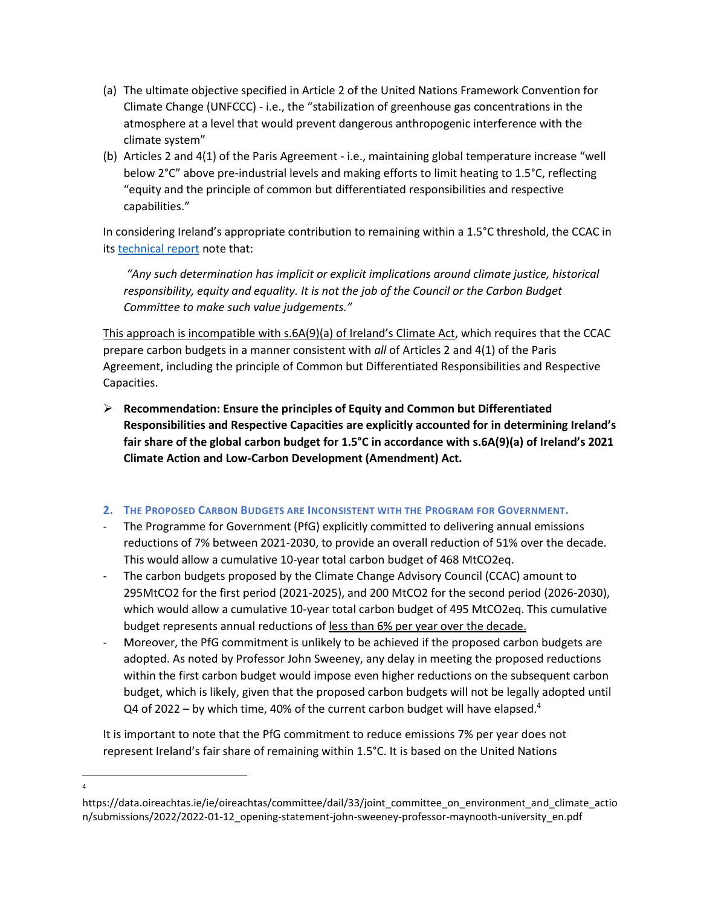- (a) The ultimate objective specified in Article 2 of the United Nations Framework Convention for Climate Change (UNFCCC) - i.e., the "stabilization of greenhouse gas concentrations in the atmosphere at a level that would prevent dangerous anthropogenic interference with the climate system"
- (b) Articles 2 and 4(1) of the Paris Agreement i.e., maintaining global temperature increase "well below 2°C" above pre-industrial levels and making efforts to limit heating to 1.5°C, reflecting "equity and the principle of common but differentiated responsibilities and respective capabilities."

In considering Ireland's appropriate contribution to remaining within a 1.5°C threshold, the CCAC in its [technical report](https://www.climatecouncil.ie/media/climatechangeadvisorycouncil/Technical%20report%20on%20carbon%20budgets%2025.10.2021.pdf) note that:

*"Any such determination has implicit or explicit implications around climate justice, historical responsibility, equity and equality. It is not the job of the Council or the Carbon Budget Committee to make such value judgements."*

This approach is incompatible with s.6A(9)(a) of Ireland's Climate Act, which requires that the CCAC prepare carbon budgets in a manner consistent with *all* of Articles 2 and 4(1) of the Paris Agreement, including the principle of Common but Differentiated Responsibilities and Respective Capacities.

➢ **Recommendation: Ensure the principles of Equity and Common but Differentiated Responsibilities and Respective Capacities are explicitly accounted for in determining Ireland's fair share of the global carbon budget for 1.5°C in accordance with s.6A(9)(a) of Ireland's 2021 Climate Action and Low-Carbon Development (Amendment) Act.**

## **2. THE PROPOSED CARBON BUDGETS ARE INCONSISTENT WITH THE PROGRAM FOR GOVERNMENT.**

- The Programme for Government (PfG) explicitly committed to delivering annual emissions reductions of 7% between 2021-2030, to provide an overall reduction of 51% over the decade. This would allow a cumulative 10-year total carbon budget of 468 MtCO2eq.
- The carbon budgets proposed by the Climate Change Advisory Council (CCAC) amount to 295MtCO2 for the first period (2021-2025), and 200 MtCO2 for the second period (2026-2030), which would allow a cumulative 10-year total carbon budget of 495 MtCO2eq. This cumulative budget represents annual reductions of less than 6% per year over the decade.
- Moreover, the PfG commitment is unlikely to be achieved if the proposed carbon budgets are adopted. As noted by Professor John Sweeney, any delay in meeting the proposed reductions within the first carbon budget would impose even higher reductions on the subsequent carbon budget, which is likely, given that the proposed carbon budgets will not be legally adopted until Q4 of 2022 – by which time, 40% of the current carbon budget will have elapsed.<sup>4</sup>

It is important to note that the PfG commitment to reduce emissions 7% per year does not represent Ireland's fair share of remaining within 1.5°C. It is based on the United Nations

4

https://data.oireachtas.ie/ie/oireachtas/committee/dail/33/joint\_committee\_on\_environment\_and\_climate\_actio n/submissions/2022/2022-01-12\_opening-statement-john-sweeney-professor-maynooth-university\_en.pdf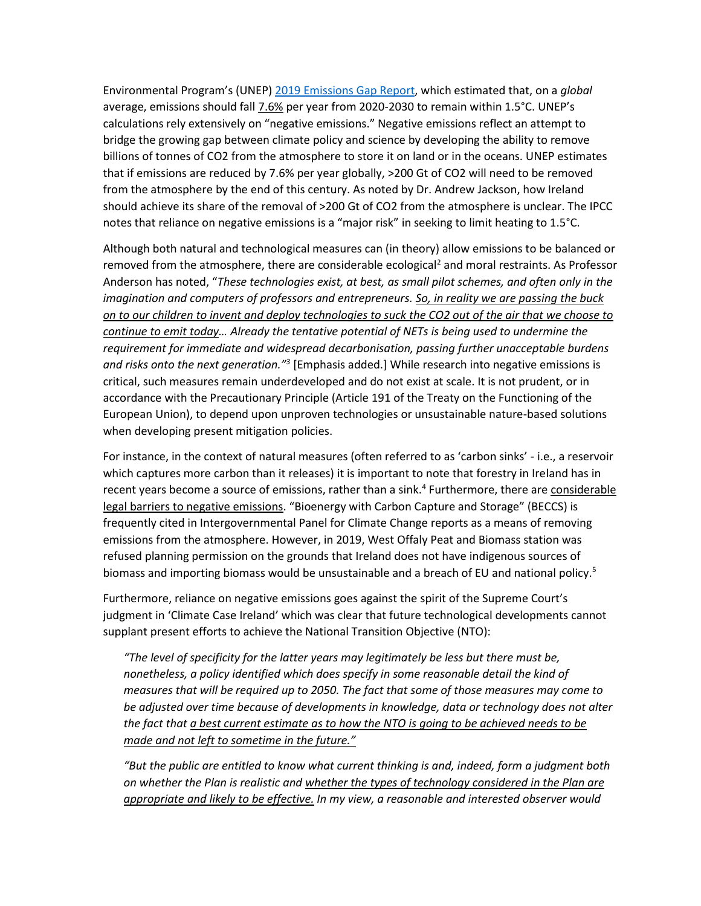Environmental Program's (UNEP) [2019 Emissions Gap Report,](https://wedocs.unep.org/bitstream/handle/20.500.11822/30797/EGR2019.pdf?sequence=1&isAllowed=y) which estimated that, on a *global* average, emissions should fall 7.6% per year from 2020-2030 to remain within 1.5°C. UNEP's calculations rely extensively on "negative emissions." Negative emissions reflect an attempt to bridge the growing gap between climate policy and science by developing the ability to remove billions of tonnes of CO2 from the atmosphere to store it on land or in the oceans. UNEP estimates that if emissions are reduced by 7.6% per year globally, >200 Gt of CO2 will need to be removed from the atmosphere by the end of this century. As noted by Dr. Andrew Jackson, how Ireland should achieve its share of the removal of >200 Gt of CO2 from the atmosphere is unclear. The IPCC notes that reliance on negative emissions is a "major risk" in seeking to limit heating to 1.5°C.

Although both natural and technological measures can (in theory) allow emissions to be balanced or removed from the atmosphere, there are considerable ecological<sup>2</sup> and moral restraints. As Professor Anderson has noted, "*These technologies exist, at best, as small pilot schemes, and often only in the imagination and computers of professors and entrepreneurs. So, in reality we are passing the buck on to our children to invent and deploy technologies to suck the CO2 out of the air that we choose to continue to emit today… Already the tentative potential of NETs is being used to undermine the requirement for immediate and widespread decarbonisation, passing further unacceptable burdens and risks onto the next generation."<sup>3</sup>* [Emphasis added.] While research into negative emissions is critical, such measures remain underdeveloped and do not exist at scale. It is not prudent, or in accordance with the Precautionary Principle (Article 191 of the Treaty on the Functioning of the European Union), to depend upon unproven technologies or unsustainable nature-based solutions when developing present mitigation policies.

For instance, in the context of natural measures (often referred to as 'carbon sinks' - i.e., a reservoir which captures more carbon than it releases) it is important to note that forestry in Ireland has in recent years become a source of emissions, rather than a sink.<sup>4</sup> Furthermore, there are considerable legal barriers to negative emissions. "Bioenergy with Carbon Capture and Storage" (BECCS) is frequently cited in Intergovernmental Panel for Climate Change reports as a means of removing emissions from the atmosphere. However, in 2019, West Offaly Peat and Biomass station was refused planning permission on the grounds that Ireland does not have indigenous sources of biomass and importing biomass would be unsustainable and a breach of EU and national policy.<sup>5</sup>

Furthermore, reliance on negative emissions goes against the spirit of the Supreme Court's judgment in 'Climate Case Ireland' which was clear that future technological developments cannot supplant present efforts to achieve the National Transition Objective (NTO):

*"The level of specificity for the latter years may legitimately be less but there must be, nonetheless, a policy identified which does specify in some reasonable detail the kind of measures that will be required up to 2050. The fact that some of those measures may come to be adjusted over time because of developments in knowledge, data or technology does not alter the fact that a best current estimate as to how the NTO is going to be achieved needs to be made and not left to sometime in the future."*

*"But the public are entitled to know what current thinking is and, indeed, form a judgment both on whether the Plan is realistic and whether the types of technology considered in the Plan are appropriate and likely to be effective. In my view, a reasonable and interested observer would*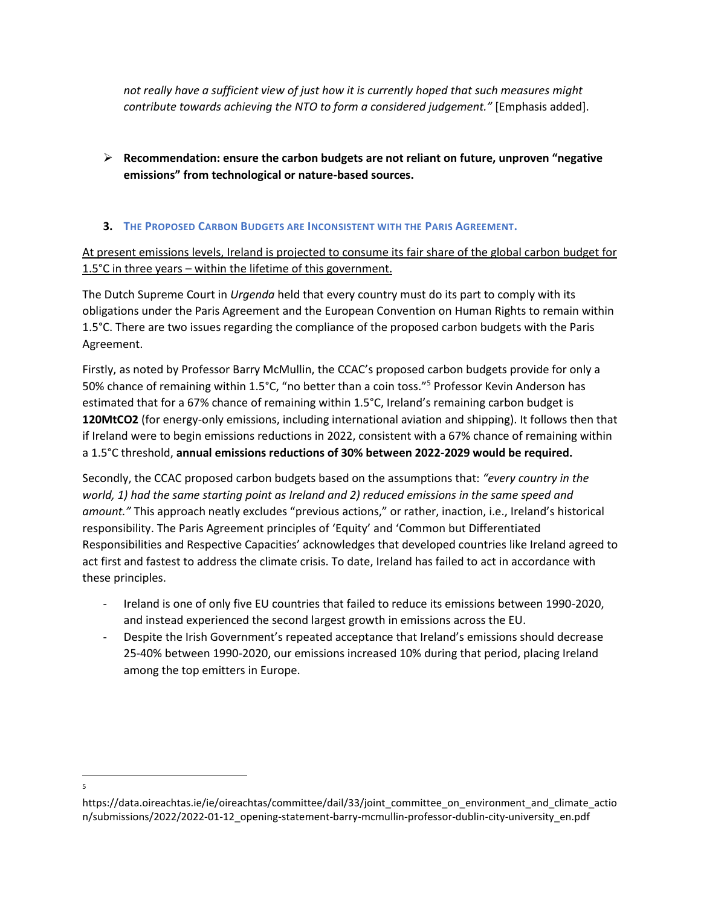*not really have a sufficient view of just how it is currently hoped that such measures might contribute towards achieving the NTO to form a considered judgement."* [Emphasis added].

- ➢ **Recommendation: ensure the carbon budgets are not reliant on future, unproven "negative emissions" from technological or nature-based sources.**
- **3. THE PROPOSED CARBON BUDGETS ARE INCONSISTENT WITH THE PARIS AGREEMENT.**

At present emissions levels, Ireland is projected to consume its fair share of the global carbon budget for 1.5°C in three years – within the lifetime of this government.

The Dutch Supreme Court in *Urgenda* held that every country must do its part to comply with its obligations under the Paris Agreement and the European Convention on Human Rights to remain within 1.5°C. There are two issues regarding the compliance of the proposed carbon budgets with the Paris Agreement.

Firstly, as noted by Professor Barry McMullin, the CCAC's proposed carbon budgets provide for only a 50% chance of remaining within 1.5°C, "no better than a coin toss."<sup>5</sup> Professor Kevin Anderson has estimated that for a 67% chance of remaining within 1.5°C, Ireland's remaining carbon budget is **120MtCO2** (for energy-only emissions, including international aviation and shipping). It follows then that if Ireland were to begin emissions reductions in 2022, consistent with a 67% chance of remaining within a 1.5°C threshold, **annual emissions reductions of 30% between 2022-2029 would be required.**

Secondly, the CCAC proposed carbon budgets based on the assumptions that: *"every country in the world, 1) had the same starting point as Ireland and 2) reduced emissions in the same speed and amount."* This approach neatly excludes "previous actions," or rather, inaction, i.e., Ireland's historical responsibility. The Paris Agreement principles of 'Equity' and 'Common but Differentiated Responsibilities and Respective Capacities' acknowledges that developed countries like Ireland agreed to act first and fastest to address the climate crisis. To date, Ireland has failed to act in accordance with these principles.

- Ireland is one of only five EU countries that failed to reduce its emissions between 1990-2020, and instead experienced the second largest growth in emissions across the EU.
- Despite the Irish Government's repeated acceptance that Ireland's emissions should decrease 25-40% between 1990-2020, our emissions increased 10% during that period, placing Ireland among the top emitters in Europe.

<sup>5</sup>

https://data.oireachtas.ie/ie/oireachtas/committee/dail/33/joint\_committee\_on\_environment\_and\_climate\_actio n/submissions/2022/2022-01-12\_opening-statement-barry-mcmullin-professor-dublin-city-university\_en.pdf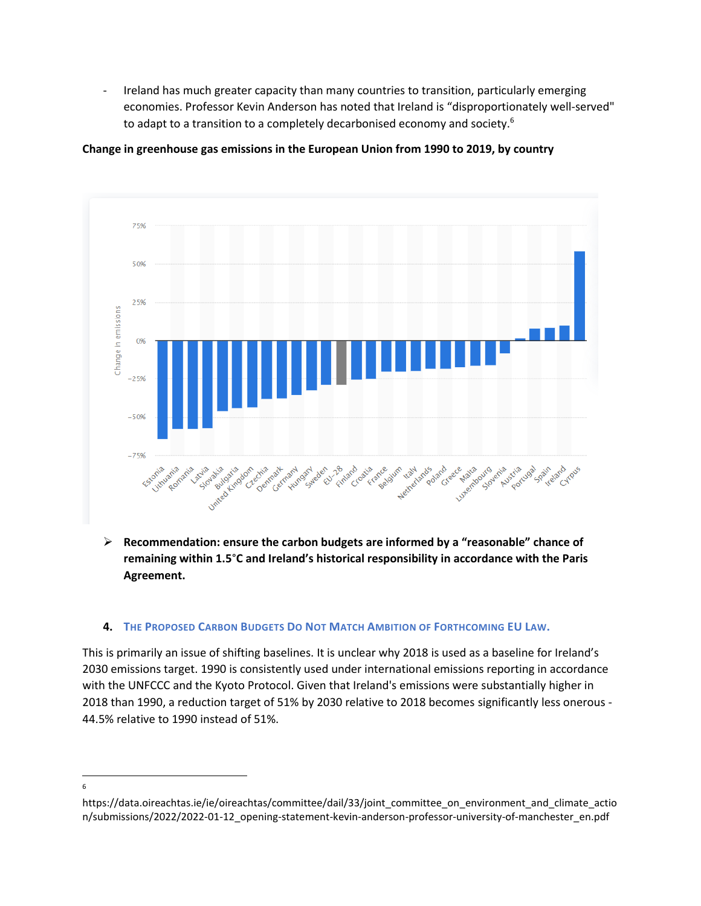Ireland has much greater capacity than many countries to transition, particularly emerging economies. Professor Kevin Anderson has noted that Ireland is "disproportionately well-served" to adapt to a transition to a completely decarbonised economy and society.<sup>6</sup>





➢ **Recommendation: ensure the carbon budgets are informed by a "reasonable" chance of remaining within 1.5**°**C and Ireland's historical responsibility in accordance with the Paris Agreement.**

### 4. THE PROPOSED CARBON BUDGETS DO NOT MATCH AMBITION OF FORTHCOMING EU LAW.

This is primarily an issue of shifting baselines. It is unclear why 2018 is used as a baseline for Ireland's 2030 emissions target. 1990 is consistently used under international emissions reporting in accordance with the UNFCCC and the Kyoto Protocol. Given that Ireland's emissions were substantially higher in 2018 than 1990, a reduction target of 51% by 2030 relative to 2018 becomes significantly less onerous - 44.5% relative to 1990 instead of 51%.

<sup>6</sup>

https://data.oireachtas.ie/ie/oireachtas/committee/dail/33/joint\_committee\_on\_environment\_and\_climate\_actio n/submissions/2022/2022-01-12\_opening-statement-kevin-anderson-professor-university-of-manchester\_en.pdf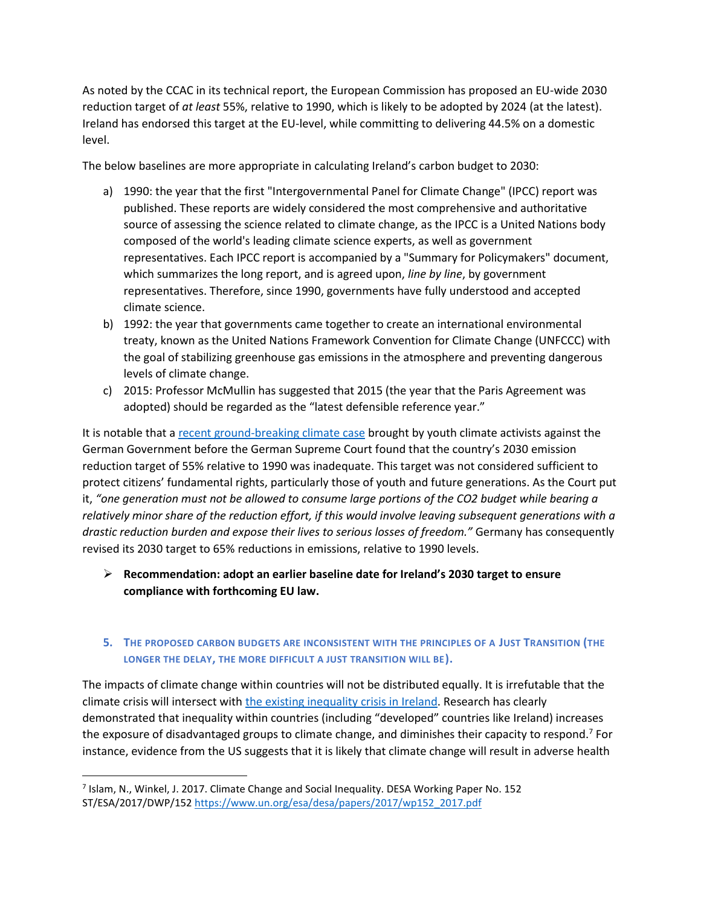As noted by the CCAC in its technical report, the European Commission has proposed an EU-wide 2030 reduction target of *at least* 55%, relative to 1990, which is likely to be adopted by 2024 (at the latest). Ireland has endorsed this target at the EU-level, while committing to delivering 44.5% on a domestic level.

The below baselines are more appropriate in calculating Ireland's carbon budget to 2030:

- a) 1990: the year that the first "Intergovernmental Panel for Climate Change" (IPCC) report was published. These reports are widely considered the most comprehensive and authoritative source of assessing the science related to climate change, as the IPCC is a United Nations body composed of the world's leading climate science experts, as well as government representatives. Each IPCC report is accompanied by a "Summary for Policymakers" document, which summarizes the long report, and is agreed upon, *line by line*, by government representatives. Therefore, since 1990, governments have fully understood and accepted climate science.
- b) 1992: the year that governments came together to create an international environmental treaty, known as the United Nations Framework Convention for Climate Change (UNFCCC) with the goal of stabilizing greenhouse gas emissions in the atmosphere and preventing dangerous levels of climate change.
- c) 2015: Professor McMullin has suggested that 2015 (the year that the Paris Agreement was adopted) should be regarded as the "latest defensible reference year."

It is notable that a [recent ground-breaking climate case](https://www.theguardian.com/world/2021/apr/29/historic-german-ruling-says-climate-goals-not-tough-enough) brought by youth climate activists against the German Government before the German Supreme Court found that the country's 2030 emission reduction target of 55% relative to 1990 was inadequate. This target was not considered sufficient to protect citizens' fundamental rights, particularly those of youth and future generations. As the Court put it, *"one generation must not be allowed to consume large portions of the CO2 budget while bearing a relatively minor share of the reduction effort, if this would involve leaving subsequent generations with a drastic reduction burden and expose their lives to serious losses of freedom."* Germany has consequently revised its 2030 target to 65% reductions in emissions, relative to 1990 levels.

➢ **Recommendation: adopt an earlier baseline date for Ireland's 2030 target to ensure compliance with forthcoming EU law.**

# **5. THE PROPOSED CARBON BUDGETS ARE INCONSISTENT WITH THE PRINCIPLES OF A JUST TRANSITION (THE LONGER THE DELAY, THE MORE DIFFICULT A JUST TRANSITION WILL BE).**

The impacts of climate change within countries will not be distributed equally. It is irrefutable that the climate crisis will intersect with [the existing inequality crisis in Ireland.](https://www.socialjustice.ie/content/policy-issues/addressing-challenge-inequality) Research has clearly demonstrated that inequality within countries (including "developed" countries like Ireland) increases the exposure of disadvantaged groups to climate change, and diminishes their capacity to respond.<sup>7</sup> For instance, evidence from the US suggests that it is likely that climate change will result in adverse health

<sup>7</sup> Islam, N., Winkel, J. 2017. Climate Change and Social Inequality. DESA Working Paper No. 152 ST/ESA/2017/DWP/152 [https://www.un.org/esa/desa/papers/2017/wp152\\_2017.pdf](https://www.un.org/esa/desa/papers/2017/wp152_2017.pdf)